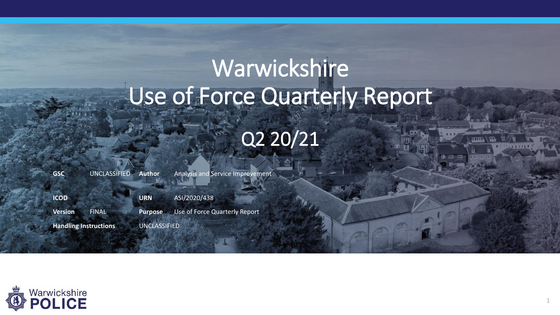# Warwickshire Use of Force Quarterly Report Q2 20/21

| <b>GSC</b>                   | <b>UNCLASSIFIED</b> | Author <sup>1</sup> | <b>Analysis and Service Improvement</b> |
|------------------------------|---------------------|---------------------|-----------------------------------------|
| <b>ICOD</b>                  |                     | <b>URN</b>          | ASI/2020/438                            |
| <b>Version</b>               | <b>FINAL</b>        | <b>Purpose</b>      | Use of Force Quarterly Report           |
| <b>Handling Instructions</b> |                     | <b>UNCLASSIFIED</b> |                                         |

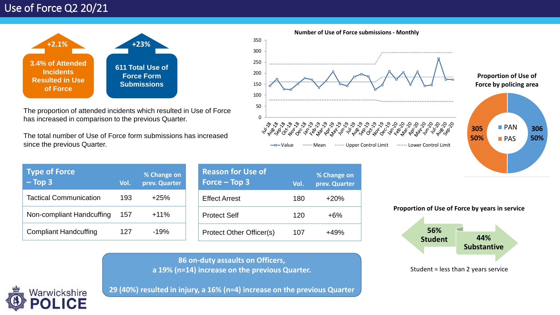

The proportion of attended incidents which resulted in Use of Force has increased in comparison to the previous Quarter.

The total number of Use of Force form submissions has increased since the previous Quarter.



**Number of Use of Force submissions - Monthly**

**Proportion of Use of Force by policing area**



| <b>Type of Force</b><br>$-$ Top 3 | Vol. | % Change on<br>prev. Quarter |
|-----------------------------------|------|------------------------------|
| <b>Tactical Communication</b>     | 193  | $+25%$                       |
| Non-compliant Handcuffing         | 157  | $+11%$                       |
| <b>Compliant Handcuffing</b>      | 127  | $-19%$                       |

| <b>Reason for Use of</b><br>Force $-$ Top 3 | Vol. | % Change on<br>prev. Quarter |
|---------------------------------------------|------|------------------------------|
| <b>Effect Arrest</b>                        | 180  | $+20%$                       |
| <b>Protect Self</b>                         | 120  | +6%                          |
| Protect Other Officer(s)                    | 107  | 10L                          |

**Proportion of Use of Force by years in service**



**86 on-duty assaults on Officers, a 19% (n=14) increase on the previous Quarter.**

Narwickshire

**29 (40%) resulted in injury, a 16% (n=4) increase on the previous Quarter**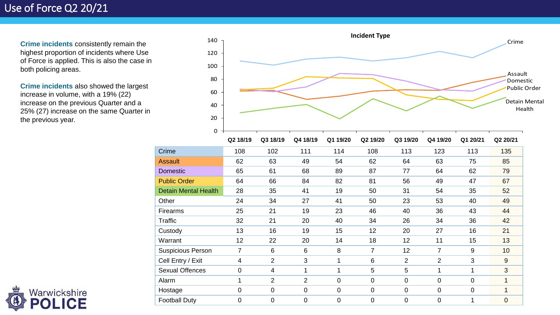**Crime incidents** consistently remain the highest proportion of incidents where Use of Force is applied. This is also the case in both policing areas.

**Crime incidents** also showed the largest increase in volume, with a 19% (22) increase on the previous Quarter and a 25% (27) increase on the same Quarter in the previous year.



|                             | Q2 18/19    | Q3 18/19       | Q4 18/19       | Q1 19/20       | Q2 19/20       | Q3 19/20       | Q4 19/20       | Q1 20/21    | Q2 20/21       |
|-----------------------------|-------------|----------------|----------------|----------------|----------------|----------------|----------------|-------------|----------------|
| Crime                       | 108         | 102            | 111            | 114            | 108            | 113            | 123            | 113         | 135            |
| Assault                     | 62          | 63             | 49             | 54             | 62             | 64             | 63             | 75          | 85             |
| <b>Domestic</b>             | 65          | 61             | 68             | 89             | 87             | 77             | 64             | 62          | 79             |
| <b>Public Order</b>         | 64          | 66             | 84             | 82             | 81             | 56             | 49             | 47          | 67             |
| <b>Detain Mental Health</b> | 28          | 35             | 41             | 19             | 50             | 31             | 54             | 35          | 52             |
| Other                       | 24          | 34             | 27             | 41             | 50             | 23             | 53             | 40          | 49             |
| Firearms                    | 25          | 21             | 19             | 23             | 46             | 40             | 36             | 43          | 44             |
| Traffic                     | 32          | 21             | 20             | 40             | 34             | 26             | 34             | 36          | 42             |
| Custody                     | 13          | 16             | 19             | 15             | 12             | 20             | 27             | 16          | 21             |
| Warrant                     | 12          | 22             | 20             | 14             | 18             | 12             | 11             | 15          | 13             |
| <b>Suspicious Person</b>    | 7           | 6              | 6              | 8              | 7              | 12             | 7              | 9           | 10             |
| Cell Entry / Exit           | 4           | $\overline{2}$ | 3              |                | 6              | 2              | $\overline{2}$ | 3           | 9              |
| <b>Sexual Offences</b>      | 0           | 4              | 1              |                | 5              | $\overline{5}$ | 1              |             | 3              |
| Alarm                       | 1           | $\overline{2}$ | $\overline{2}$ | $\mathbf 0$    | $\mathbf 0$    | $\mathbf 0$    | 0              | 0           |                |
| Hostage                     | 0           | $\overline{0}$ | 0              | $\overline{0}$ | $\overline{0}$ | $\mathbf 0$    | 0              | $\mathbf 0$ | 1              |
| <b>Football Duty</b>        | $\mathbf 0$ | $\overline{0}$ | 0              | 0              | $\overline{0}$ | $\mathbf 0$    | 0              |             | $\overline{0}$ |

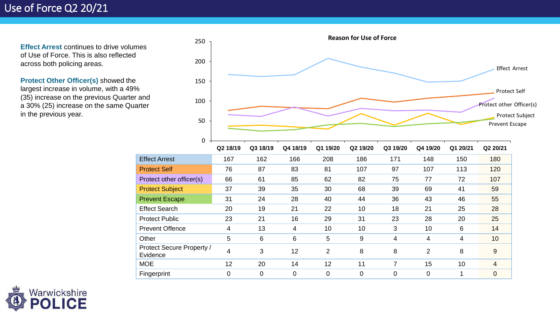**Effect Arrest continues to drive volumes** of Use of Force. This is also reflected across both policing areas.

**Protect Other Officer(s)** showed the largest increase in volume, with a 49% (35) increase on the previous Quarter and a 30% (25) increase on the same Quarter in the previous year.



|                                       | Q2 18/19 | Q3 18/19 | Q4 18/19 | Q1 19/20       | Q2 19/20 | Q3 19/20 | Q4 19/20 | Q1 20/21 | Q2 20/21 |
|---------------------------------------|----------|----------|----------|----------------|----------|----------|----------|----------|----------|
| <b>Effect Arrest</b>                  | 167      | 162      | 166      | 208            | 186      | 171      | 148      | 150      | 180      |
| <b>Protect Self</b>                   | 76       | 87       | 83       | 81             | 107      | 97       | 107      | 113      | 120      |
| Protect other officer(s)              | 66       | 61       | 85       | 62             | 82       | 75       | 77       | 72       | 107      |
| <b>Protect Subject</b>                | 37       | 39       | 35       | 30             | 68       | 39       | 69       | 41       | 59       |
| <b>Prevent Escape</b>                 | 31       | 24       | 28       | 40             | 44       | 36       | 43       | 46       | 55       |
| <b>Effect Search</b>                  | 20       | 19       | 21       | 22             | 10       | 18       | 21       | 25       | 28       |
| <b>Protect Public</b>                 | 23       | 21       | 16       | 29             | 31       | 23       | 28       | 20       | 25       |
| <b>Prevent Offence</b>                | 4        | 13       | 4        | 10             | 10       | 3        | 10       | 6        | 14       |
| Other                                 | 5        | 6        | 6        | 5              | 9        | 4        | 4        | 4        | 10       |
| Protect Secure Property /<br>Evidence | 4        | 3        | 12       | $\overline{2}$ | 8        | 8        | 2        | 8        | 9        |
| <b>MOE</b>                            | 12       | 20       | 14       | 12             | 11       | 7        | 15       | 10       | 4        |
| Fingerprint                           | $\Omega$ | 0        | 0        | $\overline{0}$ | 0        | 0        | 0        |          | 0        |

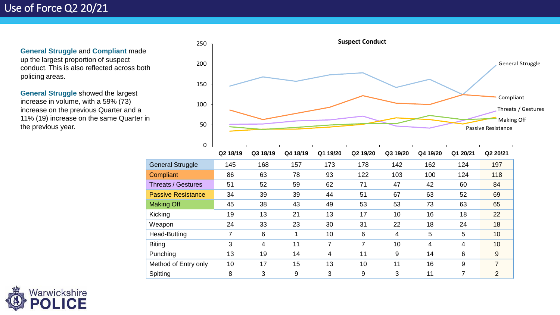**General Struggle** and **Compliant** made up the largest proportion of suspect conduct. This is also reflected across both policing areas.

**General Struggle** showed the largest increase in volume, with a 59% (73) increase on the previous Quarter and a 11% (19) increase on the same Quarter in the previous year.



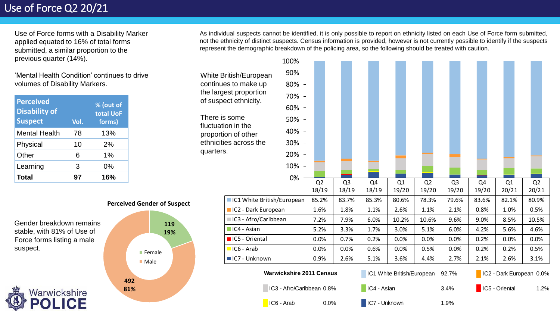Use of Force forms with a Disability Marker applied equated to 16% of total forms submitted, a similar proportion to the previous quarter (14%).

'Mental Health Condition' continues to drive volumes of Disability Markers.

| <b>Perceived</b><br><b>Disability of</b><br><b>Suspect</b> | Vol. | $\sqrt{8}$ (out of<br>total UoF<br>forms) |
|------------------------------------------------------------|------|-------------------------------------------|
| <b>Mental Health</b>                                       | 78   | 13%                                       |
| Physical                                                   | 10   | 2%                                        |
| Other                                                      | 6    | 1%                                        |
| Learning                                                   | 3    | 0%                                        |
| Total                                                      | 97   | 16%                                       |

Gender breakdown remains stable, with 81% of Use of Force forms listing a male suspect.



**Perceived Gender of Suspect 119 19% 492 81% Female** ■ Male

As individual suspects cannot be identified, it is only possible to report on ethnicity listed on each Use of Force form submitted, not the ethnicity of distinct suspects. Census information is provided, however is not currently possible to identify if the suspects represent the demographic breakdown of the policing area, so the following should be treated with caution.

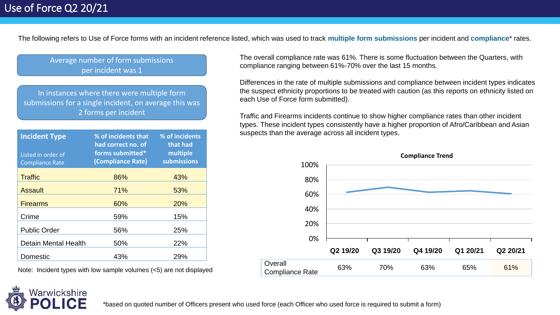The following refers to Use of Force forms with an incident reference listed, which was used to track **multiple form submissions** per incident and **compliance**\* rates.

Average number of form submissions per incident was 1

In instances where there were multiple form submissions for a single incident, on average this was 2 forms per incident

| <b>Incident Type</b><br>Listed in order of<br><b>Compliance Rate</b> | % of incidents that<br>had correct no. of<br>forms submitted*<br>(Compliance Rate) | % of incidents<br>that had<br>multiple<br>submissions |  |  |  |
|----------------------------------------------------------------------|------------------------------------------------------------------------------------|-------------------------------------------------------|--|--|--|
| <b>Traffic</b>                                                       | 86%                                                                                | 43%                                                   |  |  |  |
| <b>Assault</b>                                                       | 71%                                                                                | 53%                                                   |  |  |  |
| <b>Firearms</b>                                                      | 60%                                                                                | 20%                                                   |  |  |  |
| Crime                                                                | 59%                                                                                | 15%                                                   |  |  |  |
| <b>Public Order</b>                                                  | 56%                                                                                | 25%                                                   |  |  |  |
| <b>Detain Mental Health</b>                                          | 50%                                                                                | 22%                                                   |  |  |  |
| Domestic                                                             | 43%                                                                                | 29%                                                   |  |  |  |

Note: Incident types with low sample volumes (<5) are not displayed

The overall compliance rate was 61%. There is some fluctuation between the Quarters, with compliance ranging between 61%-70% over the last 15 months.

Differences in the rate of multiple submissions and compliance between incident types indicates the suspect ethnicity proportions to be treated with caution (as this reports on ethnicity listed on each Use of Force form submitted).

Traffic and Firearms incidents continue to show higher compliance rates than other incident types. These incident types consistently have a higher proportion of Afro/Caribbean and Asian suspects than the average across all incident types.



**Compliance Trend**

\*based on quoted number of Officers present who used force (each Officer who used force is required to submit a form)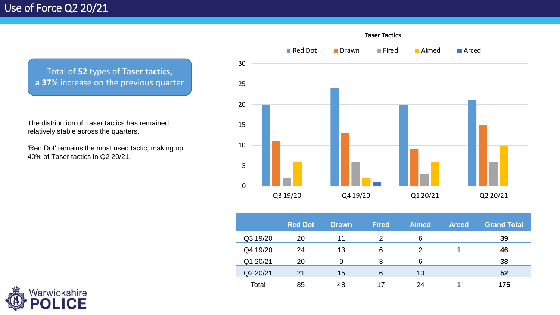Total of **52** types of **Taser tactics, a 37**% increase on the previous quarter

The distribution of Taser tactics has remained relatively stable across the quarters.

'Red Dot' remains the most used tactic, making up 40% of Taser tactics in Q2 20/21.



|          | <b>Red Dot</b> | <b>Drawn</b> | <b>Fired</b> | <b>Aimed</b> | <b>Arced</b> | <b>Grand Total</b> |
|----------|----------------|--------------|--------------|--------------|--------------|--------------------|
| Q3 19/20 | 20             |              |              | 6            |              | 39                 |
| Q4 19/20 | 24             | 13           | 6            |              |              | 46                 |
| Q1 20/21 | 20             | 9            | 3            | 6            |              | 38                 |
| Q2 20/21 | 21             | 15           | 6            | 10           |              | 52                 |
| Total    | 85             | 48           | 17           | 24           |              | 175                |